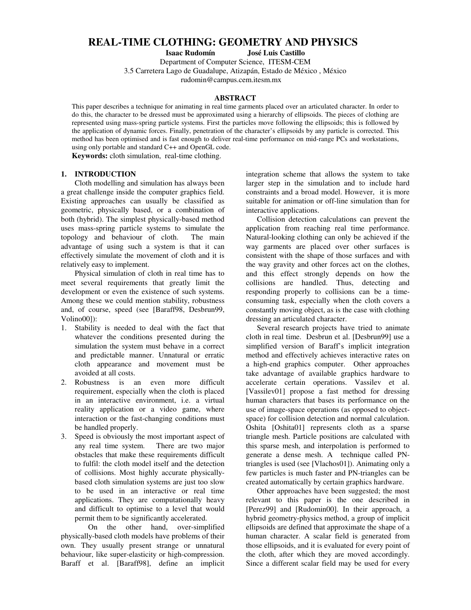# **REAL-TIME CLOTHING: GEOMETRY AND PHYSICS**

**Isaac Rudomín José Luis Castillo**

Department of Computer Science, ITESM-CEM

3.5 Carretera Lago de Guadalupe, Atizapán, Estado de México , México rudomin@campus.cem.itesm.mx

### **ABSTRACT**

This paper describes a technique for animating in real time garments placed over an articulated character. In order to do this, the character to be dressed must be approximated using a hierarchy of ellipsoids. The pieces of clothing are represented using mass-spring particle systems. First the particles move following the ellipsoids; this is followed by the application of dynamic forces. Finally, penetration of the character's ellipsoids by any particle is corrected. This method has been optimised and is fast enough to deliver real-time performance on mid-range PCs and workstations, using only portable and standard C++ and OpenGL code.

**Keywords:** cloth simulation, real-time clothing.

# **1. INTRODUCTION**

Cloth modelling and simulation has always been a great challenge inside the computer graphics field. Existing approaches can usually be classified as geometric, physically based, or a combination of both (hybrid). The simplest physically-based method uses mass-spring particle systems to simulate the topology and behaviour of cloth. The main advantage of using such a system is that it can effectively simulate the movement of cloth and it is relatively easy to implement.

Physical simulation of cloth in real time has to meet several requirements that greatly limit the development or even the existence of such systems. Among these we could mention stability, robustness and, of course, speed (see [Baraff98, Desbrun99, Volino00]):

- 1. Stability is needed to deal with the fact that whatever the conditions presented during the simulation the system must behave in a correct and predictable manner. Unnatural or erratic cloth appearance and movement must be avoided at all costs.
- 2. Robustness is an even more difficult requirement, especially when the cloth is placed in an interactive environment, i.e. a virtual reality application or a video game, where interaction or the fast-changing conditions must be handled properly.
- 3. Speed is obviously the most important aspect of any real time system. There are two major obstacles that make these requirements difficult to fulfil: the cloth model itself and the detection of collisions. Most highly accurate physicallybased cloth simulation systems are just too slow to be used in an interactive or real time applications. They are computationally heavy and difficult to optimise to a level that would permit them to be significantly accelerated.

On the other hand, over-simplified physically-based cloth models have problems of their own. They usually present strange or unnatural behaviour, like super-elasticity or high-compression. Baraff et al. [Baraff98], define an implicit

integration scheme that allows the system to take larger step in the simulation and to include hard constraints and a broad model. However, it is more suitable for animation or off-line simulation than for interactive applications.

Collision detection calculations can prevent the application from reaching real time performance. Natural-looking clothing can only be achieved if the way garments are placed over other surfaces is consistent with the shape of those surfaces and with the way gravity and other forces act on the clothes, and this effect strongly depends on how the collisions are handled. Thus, detecting and responding properly to collisions can be a timeconsuming task, especially when the cloth covers a constantly moving object, as is the case with clothing dressing an articulated character.

Several research projects have tried to animate cloth in real time. Desbrun et al. [Desbrun99] use a simplified version of Baraff's implicit integration method and effectively achieves interactive rates on a high-end graphics computer. Other approaches take advantage of available graphics hardware to accelerate certain operations. Vassilev et al. [Vassilev01] propose a fast method for dressing human characters that bases its performance on the use of image-space operations (as opposed to objectspace) for collision detection and normal calculation. Oshita [Oshita01] represents cloth as a sparse triangle mesh. Particle positions are calculated with this sparse mesh, and interpolation is performed to generate a dense mesh. A technique called PNtriangles is used (see [Vlachos01]). Animating only a few particles is much faster and PN-triangles can be created automatically by certain graphics hardware.

Other approaches have been suggested; the most relevant to this paper is the one described in [Perez99] and [Rudomin00]. In their approach, a hybrid geometry-physics method, a group of implicit ellipsoids are defined that approximate the shape of a human character. A scalar field is generated from those ellipsoids, and it is evaluated for every point of the cloth, after which they are moved accordingly. Since a different scalar field may be used for every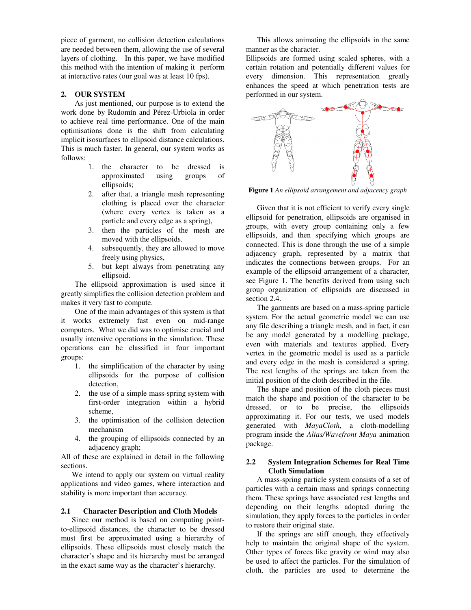piece of garment, no collision detection calculations are needed between them, allowing the use of several layers of clothing. In this paper, we have modified this method with the intention of making it perform at interactive rates (our goal was at least 10 fps).

# **2. OUR SYSTEM**

As just mentioned, our purpose is to extend the work done by Rudomín and Pérez-Urbiola in order to achieve real time performance. One of the main optimisations done is the shift from calculating implicit isosurfaces to ellipsoid distance calculations. This is much faster. In general, our system works as follows:

- 1. the character to be dressed is approximated using groups of ellipsoids;
- 2. after that, a triangle mesh representing clothing is placed over the character (where every vertex is taken as a particle and every edge as a spring),
- 3. then the particles of the mesh are moved with the ellipsoids.
- 4. subsequently, they are allowed to move freely using physics,
- 5. but kept always from penetrating any ellipsoid.

The ellipsoid approximation is used since it greatly simplifies the collision detection problem and makes it very fast to compute.

One of the main advantages of this system is that it works extremely fast even on mid-range computers. What we did was to optimise crucial and usually intensive operations in the simulation. These operations can be classified in four important groups:

- 1. the simplification of the character by using ellipsoids for the purpose of collision detection,
- 2. the use of a simple mass-spring system with first-order integration within a hybrid scheme,
- 3. the optimisation of the collision detection mechanism
- 4. the grouping of ellipsoids connected by an adjacency graph;

All of these are explained in detail in the following sections.

We intend to apply our system on virtual reality applications and video games, where interaction and stability is more important than accuracy.

#### **2.1 Character Description and Cloth Models**

Since our method is based on computing pointto-ellipsoid distances, the character to be dressed must first be approximated using a hierarchy of ellipsoids. These ellipsoids must closely match the character's shape and its hierarchy must be arranged in the exact same way as the character's hierarchy.

This allows animating the ellipsoids in the same manner as the character.

Ellipsoids are formed using scaled spheres, with a certain rotation and potentially different values for every dimension. This representation greatly enhances the speed at which penetration tests are performed in our system.



**Figure 1** *An ellipsoid arrangement and adjacency graph*

Given that it is not efficient to verify every single ellipsoid for penetration, ellipsoids are organised in groups, with every group containing only a few ellipsoids, and then specifying which groups are connected. This is done through the use of a simple adjacency graph, represented by a matrix that indicates the connections between groups. For an example of the ellipsoid arrangement of a character, see Figure 1. The benefits derived from using such group organization of ellipsoids are discussed in section 2.4.

The garments are based on a mass-spring particle system. For the actual geometric model we can use any file describing a triangle mesh, and in fact, it can be any model generated by a modelling package, even with materials and textures applied. Every vertex in the geometric model is used as a particle and every edge in the mesh is considered a spring. The rest lengths of the springs are taken from the initial position of the cloth described in the file.

The shape and position of the cloth pieces must match the shape and position of the character to be dressed, or to be precise, the ellipsoids approximating it. For our tests, we used models generated with *MayaCloth*, a cloth-modelling program inside the *Alias/Wavefront Maya* animation package.

# **2.2 System Integration Schemes for Real Time Cloth Simulation**

A mass-spring particle system consists of a set of particles with a certain mass and springs connecting them. These springs have associated rest lengths and depending on their lengths adopted during the simulation, they apply forces to the particles in order to restore their original state.

If the springs are stiff enough, they effectively help to maintain the original shape of the system. Other types of forces like gravity or wind may also be used to affect the particles. For the simulation of cloth, the particles are used to determine the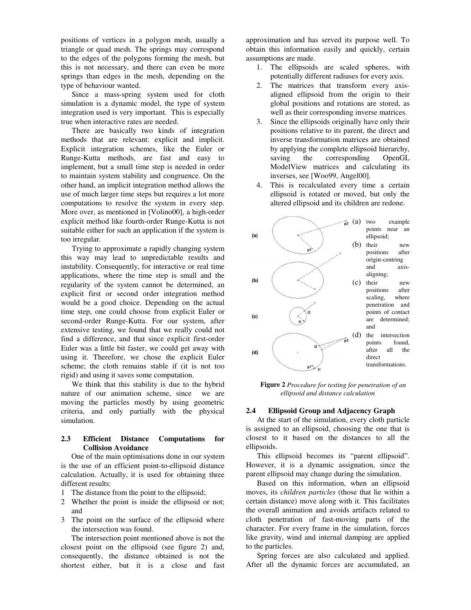positions of vertices in a polygon mesh, usually a triangle or quad mesh. The springs may correspond to the edges of the polygons forming the mesh, but this is not necessary, and there can even be more springs than edges in the mesh, depending on the type of behaviour wanted.

Since a mass-spring system used for cloth simulation is a dynamic model, the type of system integration used is very important. This is especially true when interactive rates are needed.

There are basically two kinds of integration methods that are relevant: explicit and implicit. Explicit integration schemes, like the Euler or Runge-Kutta methods, are fast and easy to implement, but a small time step is needed in order to maintain system stability and congruence. On the other hand, an implicit integration method allows the use of much larger time steps but requires a lot more computations to resolve the system in every step. More over, as mentioned in [Volino00], a high-order explicit method like fourth-order Runge-Kutta is not suitable either for such an application if the system is too irregular.

Trying to approximate a rapidly changing system this way may lead to unpredictable results and instability. Consequently, for interactive or real time applications, where the time step is small and the regularity of the system cannot be determined, an explicit first or second order integration method would be a good choice. Depending on the actual time step, one could choose from explicit Euler or second-order Runge-Kutta. For our system, after extensive testing, we found that we really could not find a difference, and that since explicit first-order Euler was a little bit faster, we could get away with using it. Therefore, we chose the explicit Euler scheme; the cloth remains stable if (it is not too rigid) and using it saves some computation.

We think that this stability is due to the hybrid nature of our animation scheme, since we are moving the particles mostly by using geometric criteria, and only partially with the physical simulation.

### **2.3 Efficient Distance Computations for Collision Avoidance**

One of the main optimisations done in our system is the use of an efficient point-to-ellipsoid distance calculation. Actually, it is used for obtaining three different results:

- 1 The distance from the point to the ellipsoid;
- 2 Whether the point is inside the ellipsoid or not; and
- 3 The point on the surface of the ellipsoid where the intersection was found.

The intersection point mentioned above is not the closest point on the ellipsoid (see figure 2) and, consequently, the distance obtained is not the shortest either, but it is a close and fast

approximation and has served its purpose well. To obtain this information easily and quickly, certain assumptions are made.

- 1. The ellipsoids are scaled spheres, with potentially different radiuses for every axis.
- 2. The matrices that transform every axisaligned ellipsoid from the origin to their global positions and rotations are stored, as well as their corresponding inverse matrices.
- 3. Since the ellipsoids originally have only their positions relative to its parent, the direct and inverse transformation matrices are obtained by applying the complete ellipsoid hierarchy, saving the corresponding OpenGL ModelView matrices and calculating its inverses, see [Woo99, Angel00].
- 4. This is recalculated every time a certain ellipsoid is rotated or moved, but only the altered ellipsoid and its children are redone.



**Figure 2** *Procedure for testing for penetration of an ellipsoid and distance calculation*

# **2.4 Ellipsoid Group and Adjacency Graph**

At the start of the simulation, every cloth particle is assigned to an ellipsoid, choosing the one that is closest to it based on the distances to all the ellipsoids.

This ellipsoid becomes its "parent ellipsoid". However, it is a dynamic assignation, since the parent ellipsoid may change during the simulation.

Based on this information, when an ellipsoid moves, its *children particles* (those that lie within a certain distance) move along with it. This facilitates the overall animation and avoids artifacts related to cloth penetration of fast-moving parts of the character. For every frame in the simulation, forces like gravity, wind and internal damping are applied to the particles.

Spring forces are also calculated and applied. After all the dynamic forces are accumulated, an